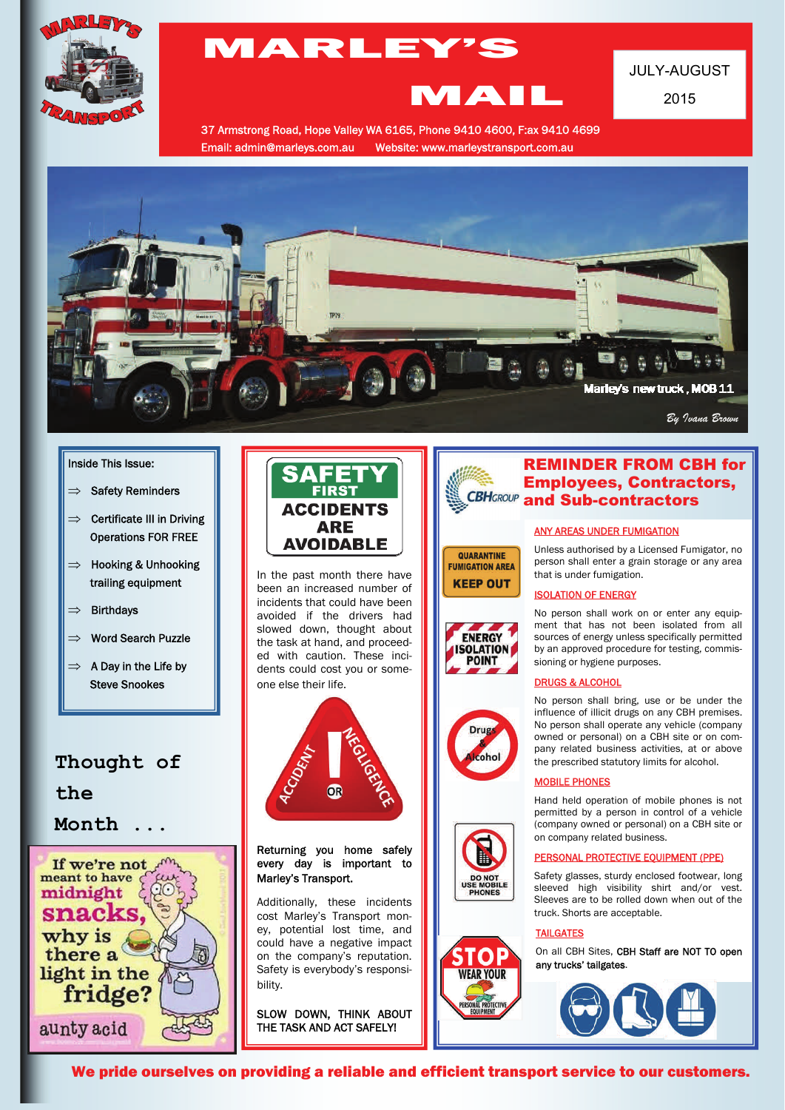

# MARLEY'S

## JULY-AUGUST

2015

37 Armstrong Road, Hope Valley WA 6165, Phone 9410 4600, F:ax 9410 4699 Email: admin@marleys.com.au Website: www.marleystransport.com.au



#### Inside This Issue:

- $\Rightarrow$  Safety Reminders
- $\implies$  Certificate III in Driving Operations FOR FREE
- $\implies$  Hooking & Unhooking trailing equipment
- $\implies$  Birthdays
- $\implies$  Word Search Puzzle
- $\implies$  A Day in the Life by Steve Snookes

### **Thought of**

**the** 

**Month ...** 





In the past month there have been an increased number of incidents that could have been avoided if the drivers had slowed down, thought about the task at hand, and proceeded with caution. These incidents could cost you or someone else their life.



Returning you home safely every day is important to Marley's Transport.

Additionally, these incidents cost Marley's Transport money, potential lost time, and could have a negative impact on the company's reputation. Safety is everybody's responsibility.

SLOW DOWN, THINK ABOUT THE TASK AND ACT SAFELY!



MAIL

### REMINDER FROM CBH for Employees, Contractors, and Sub-contractors

### ANY AREAS UNDER FUMIGATION

Unless authorised by a Licensed Fumigator, no person shall enter a grain storage or any area that is under fumigation.

#### ISOLATION OF ENERGY



QUARANTINE **FUMIGATION AREA KEEP OUT** 









No person shall work on or enter any equipment that has not been isolated from all sources of energy unless specifically permitted by an approved procedure for testing, commissioning or hygiene purposes.

#### DRUGS & ALCOHOL

No person shall bring, use or be under the influence of illicit drugs on any CBH premises. No person shall operate any vehicle (company owned or personal) on a CBH site or on company related business activities, at or above the prescribed statutory limits for alcohol.

#### MOBILE PHONES

Hand held operation of mobile phones is not permitted by a person in control of a vehicle (company owned or personal) on a CBH site or on company related business.

#### PERSONAL PROTECTIVE EQUIPMENT (PPE)

Safety glasses, sturdy enclosed footwear, long sleeved high visibility shirt and/or vest. Sleeves are to be rolled down when out of the truck. Shorts are acceptable.

#### TAILGATES

On all CBH Sites, CBH Staff are NOT TO open any trucks' tailgates.



We pride ourselves on providing a reliable and efficient transport service to our customers.